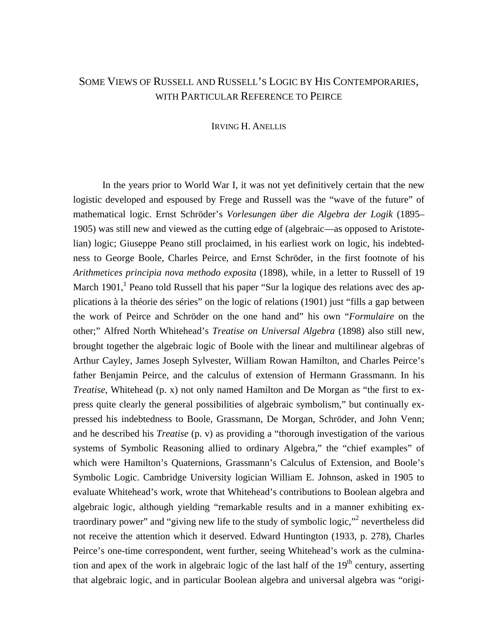# SOME VIEWS OF RUSSELL AND RUSSELL'S LOGIC BY HIS CONTEMPORARIES, WITH PARTICULAR REFERENCE TO PEIRCE

### IRVING H. ANELLIS

 In the years prior to World War I, it was not yet definitively certain that the new logistic developed and espoused by Frege and Russell was the "wave of the future" of mathematical logic. Ernst Schröder's *Vorlesungen über die Algebra der Logik* (1895– 1905) was still new and viewed as the cutting edge of (algebraic—as opposed to Aristotelian) logic; Giuseppe Peano still proclaimed, in his earliest work on logic, his indebtedness to George Boole, Charles Peirce, and Ernst Schröder, in the first footnote of his *Arithmetices principia nova methodo exposita* (1898), while, in a letter to Russell of 19 March [1](#page-11-0)901,<sup>1</sup> Peano told Russell that his paper "Sur la logique des relations avec des applications à la théorie des séries" on the logic of relations (1901) just "fills a gap between the work of Peirce and Schröder on the one hand and" his own "*Formulaire* on the other;" Alfred North Whitehead's *Treatise on Universal Algebra* (1898) also still new, brought together the algebraic logic of Boole with the linear and multilinear algebras of Arthur Cayley, James Joseph Sylvester, William Rowan Hamilton, and Charles Peirce's father Benjamin Peirce, and the calculus of extension of Hermann Grassmann. In his *Treatise*, Whitehead (p. x) not only named Hamilton and De Morgan as "the first to express quite clearly the general possibilities of algebraic symbolism," but continually expressed his indebtedness to Boole, Grassmann, De Morgan, Schröder, and John Venn; and he described his *Treatise* (p. v) as providing a "thorough investigation of the various systems of Symbolic Reasoning allied to ordinary Algebra," the "chief examples" of which were Hamilton's Quaternions, Grassmann's Calculus of Extension, and Boole's Symbolic Logic. Cambridge University logician William E. Johnson, asked in 1905 to evaluate Whitehead's work, wrote that Whitehead's contributions to Boolean algebra and algebraic logic, although yielding "remarkable results and in a manner exhibiting extraordinary power" and "giving new life to the study of symbolic logic,"<sup>2</sup> nevertheless did not receive the attention which it deserved. Edward Huntington (1933, p. 278), Charles Peirce's one-time correspondent, went further, seeing Whitehead's work as the culmination and apex of the work in algebraic logic of the last half of the  $19<sup>th</sup>$  century, asserting that algebraic logic, and in particular Boolean algebra and universal algebra was "origi-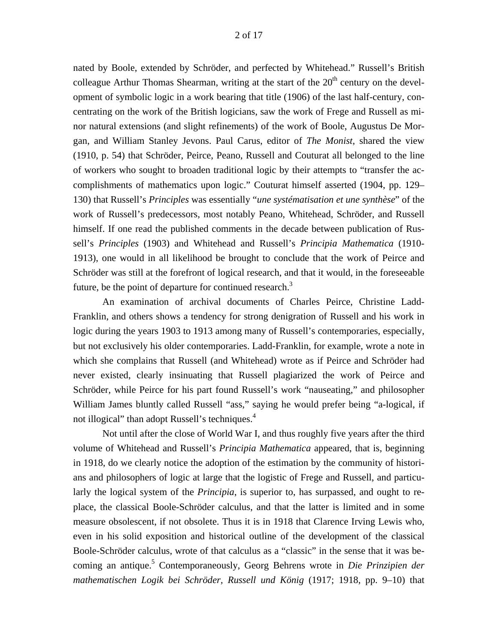nated by Boole, extended by Schröder, and perfected by Whitehead." Russell's British colleague Arthur Thomas Shearman, writing at the start of the  $20<sup>th</sup>$  century on the development of symbolic logic in a work bearing that title (1906) of the last half-century, concentrating on the work of the British logicians, saw the work of Frege and Russell as minor natural extensions (and slight refinements) of the work of Boole, Augustus De Morgan, and William Stanley Jevons. Paul Carus, editor of *The Monist*, shared the view (1910, p. 54) that Schröder, Peirce, Peano, Russell and Couturat all belonged to the line of workers who sought to broaden traditional logic by their attempts to "transfer the accomplishments of mathematics upon logic." Couturat himself asserted (1904, pp. 129– 130) that Russell's *Principles* was essentially "*une systématisation et une synthèse*" of the work of Russell's predecessors, most notably Peano, Whitehead, Schröder, and Russell himself. If one read the published comments in the decade between publication of Russell's *Principles* (1903) and Whitehead and Russell's *Principia Mathematica* (1910- 1913), one would in all likelihood be brought to conclude that the work of Peirce and Schröder was still at the forefront of logical research, and that it would, in the foreseeable future, be the point of departure for continued research.<sup>[3](#page-11-2)</sup>

 An examination of archival documents of Charles Peirce, Christine Ladd-Franklin, and others shows a tendency for strong denigration of Russell and his work in logic during the years 1903 to 1913 among many of Russell's contemporaries, especially, but not exclusively his older contemporaries. Ladd-Franklin, for example, wrote a note in which she complains that Russell (and Whitehead) wrote as if Peirce and Schröder had never existed, clearly insinuating that Russell plagiarized the work of Peirce and Schröder, while Peirce for his part found Russell's work "nauseating," and philosopher William James bluntly called Russell "ass," saying he would prefer being "a-logical, if not illogical" than adopt Russell's techniques.<sup>[4](#page-11-3)</sup>

 Not until after the close of World War I, and thus roughly five years after the third volume of Whitehead and Russell's *Principia Mathematica* appeared, that is, beginning in 1918, do we clearly notice the adoption of the estimation by the community of historians and philosophers of logic at large that the logistic of Frege and Russell, and particularly the logical system of the *Principia*, is superior to, has surpassed, and ought to replace, the classical Boole-Schröder calculus, and that the latter is limited and in some measure obsolescent, if not obsolete. Thus it is in 1918 that Clarence Irving Lewis who, even in his solid exposition and historical outline of the development of the classical Boole-Schröder calculus, wrote of that calculus as a "classic" in the sense that it was becoming an antique.<sup>5</sup> Contemporaneously, Georg Behrens wrote in *Die Prinzipien der mathematischen Logik bei Schröder, Russell und König* (1917; 1918, pp. 9–10) that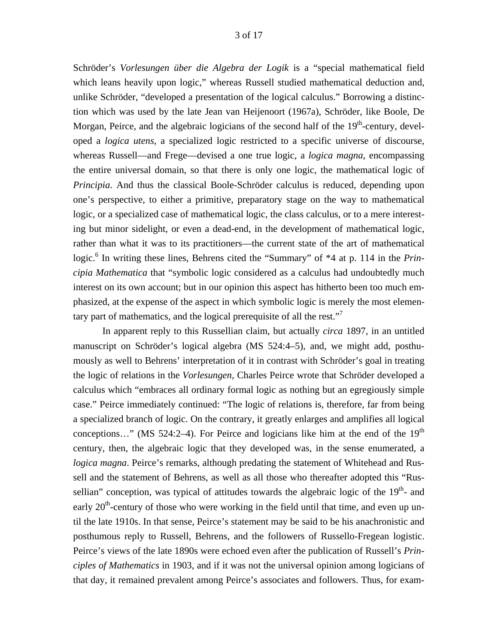Schröder's *Vorlesungen über die Algebra der Logik* is a "special mathematical field which leans heavily upon logic," whereas Russell studied mathematical deduction and, unlike Schröder, "developed a presentation of the logical calculus." Borrowing a distinction which was used by the late Jean van Heijenoort (1967a), Schröder, like Boole, De Morgan, Peirce, and the algebraic logicians of the second half of the  $19<sup>th</sup>$ -century, developed a *logica utens*, a specialized logic restricted to a specific universe of discourse, whereas Russell—and Frege—devised a one true logic, a *logica magna*, encompassing the entire universal domain, so that there is only one logic, the mathematical logic of *Principia*. And thus the classical Boole-Schröder calculus is reduced, depending upon one's perspective, to either a primitive, preparatory stage on the way to mathematical logic, or a specialized case of mathematical logic, the class calculus, or to a mere interesting but minor sidelight, or even a dead-end, in the development of mathematical logic, rather than what it was to its practitioners—the current state of the art of mathematical logic.<sup>6</sup> In writing these lines, Behrens cited the "Summary" of \*4 at p. 114 in the *Principia Mathematica* that "symbolic logic considered as a calculus had undoubtedly much interest on its own account; but in our opinion this aspect has hitherto been too much emphasized, at the expense of the aspect in which symbolic logic is merely the most elemen-tary part of mathematics, and the logical prerequisite of all the rest."<sup>[7](#page-11-6)</sup>

 In apparent reply to this Russellian claim, but actually *circa* 1897, in an untitled manuscript on Schröder's logical algebra (MS 524:4–5), and, we might add, posthumously as well to Behrens' interpretation of it in contrast with Schröder's goal in treating the logic of relations in the *Vorlesungen*, Charles Peirce wrote that Schröder developed a calculus which "embraces all ordinary formal logic as nothing but an egregiously simple case." Peirce immediately continued: "The logic of relations is, therefore, far from being a specialized branch of logic. On the contrary, it greatly enlarges and amplifies all logical conceptions..." (MS 524:2-4). For Peirce and logicians like him at the end of the  $19<sup>th</sup>$ century, then, the algebraic logic that they developed was, in the sense enumerated, a *logica magna*. Peirce's remarks, although predating the statement of Whitehead and Russell and the statement of Behrens, as well as all those who thereafter adopted this "Russellian" conception, was typical of attitudes towards the algebraic logic of the  $19<sup>th</sup>$ - and early  $20<sup>th</sup>$ -century of those who were working in the field until that time, and even up until the late 1910s. In that sense, Peirce's statement may be said to be his anachronistic and posthumous reply to Russell, Behrens, and the followers of Russello-Fregean logistic. Peirce's views of the late 1890s were echoed even after the publication of Russell's *Principles of Mathematics* in 1903, and if it was not the universal opinion among logicians of that day, it remained prevalent among Peirce's associates and followers. Thus, for exam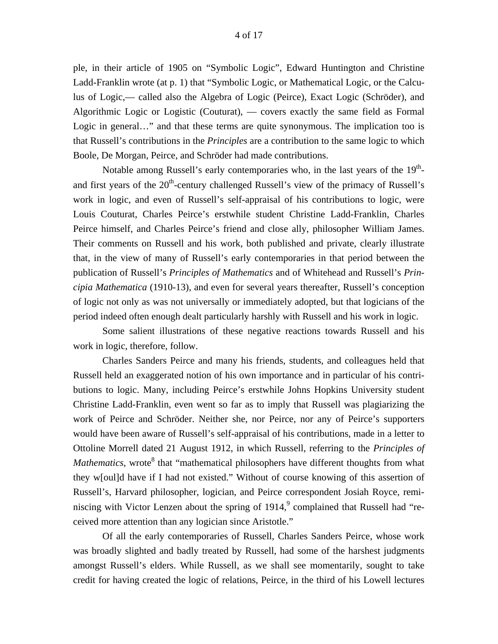ple, in their article of 1905 on "Symbolic Logic", Edward Huntington and Christine Ladd-Franklin wrote (at p. 1) that "Symbolic Logic, or Mathematical Logic, or the Calculus of Logic,— called also the Algebra of Logic (Peirce), Exact Logic (Schröder), and Algorithmic Logic or Logistic (Couturat), — covers exactly the same field as Formal Logic in general…" and that these terms are quite synonymous. The implication too is that Russell's contributions in the *Principles* are a contribution to the same logic to which Boole, De Morgan, Peirce, and Schröder had made contributions.

Notable among Russell's early contemporaries who, in the last years of the  $19<sup>th</sup>$ and first years of the  $20<sup>th</sup>$ -century challenged Russell's view of the primacy of Russell's work in logic, and even of Russell's self-appraisal of his contributions to logic, were Louis Couturat, Charles Peirce's erstwhile student Christine Ladd-Franklin, Charles Peirce himself, and Charles Peirce's friend and close ally, philosopher William James. Their comments on Russell and his work, both published and private, clearly illustrate that, in the view of many of Russell's early contemporaries in that period between the publication of Russell's *Principles of Mathematics* and of Whitehead and Russell's *Principia Mathematica* (1910-13), and even for several years thereafter, Russell's conception of logic not only as was not universally or immediately adopted, but that logicians of the period indeed often enough dealt particularly harshly with Russell and his work in logic.

 Some salient illustrations of these negative reactions towards Russell and his work in logic, therefore, follow.

 Charles Sanders Peirce and many his friends, students, and colleagues held that Russell held an exaggerated notion of his own importance and in particular of his contributions to logic. Many, including Peirce's erstwhile Johns Hopkins University student Christine Ladd-Franklin, even went so far as to imply that Russell was plagiarizing the work of Peirce and Schröder. Neither she, nor Peirce, nor any of Peirce's supporters would have been aware of Russell's self-appraisal of his contributions, made in a letter to Ottoline Morrell dated 21 August 1912, in which Russell, referring to the *Principles of Mathematics*, wrote<sup>8</sup> that "mathematical philosophers have different thoughts from what they w[oul]d have if I had not existed." Without of course knowing of this assertion of Russell's, Harvard philosopher, logician, and Peirce correspondent Josiah Royce, reminiscing with Victor Lenzen about the spring of  $1914$ , complained that Russell had "received more attention than any logician since Aristotle."

 Of all the early contemporaries of Russell, Charles Sanders Peirce, whose work was broadly slighted and badly treated by Russell, had some of the harshest judgments amongst Russell's elders. While Russell, as we shall see momentarily, sought to take credit for having created the logic of relations, Peirce, in the third of his Lowell lectures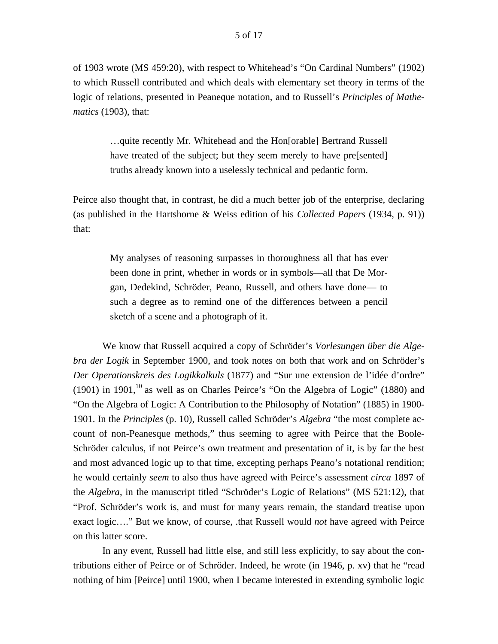of 1903 wrote (MS 459:20), with respect to Whitehead's "On Cardinal Numbers" (1902) to which Russell contributed and which deals with elementary set theory in terms of the logic of relations, presented in Peaneque notation, and to Russell's *Principles of Mathematics* (1903), that:

> …quite recently Mr. Whitehead and the Hon[orable] Bertrand Russell have treated of the subject; but they seem merely to have pre[sented] truths already known into a uselessly technical and pedantic form.

Peirce also thought that, in contrast, he did a much better job of the enterprise, declaring (as published in the Hartshorne & Weiss edition of his *Collected Papers* (1934, p. 91)) that:

> My analyses of reasoning surpasses in thoroughness all that has ever been done in print, whether in words or in symbols—all that De Morgan, Dedekind, Schröder, Peano, Russell, and others have done— to such a degree as to remind one of the differences between a pencil sketch of a scene and a photograph of it.

 We know that Russell acquired a copy of Schröder's *Vorlesungen über die Algebra der Logik* in September 1900, and took notes on both that work and on Schröder's *Der Operationskreis des Logikkalkuls* (1877) and "Sur une extension de l'idée d'ordre" (1901) in 1901,<sup>[10](#page-11-9)</sup> as well as on Charles Peirce's "On the Algebra of Logic" (1880) and "On the Algebra of Logic: A Contribution to the Philosophy of Notation" (1885) in 1900- 1901. In the *Principles* (p. 10), Russell called Schröder's *Algebra* "the most complete account of non-Peanesque methods," thus seeming to agree with Peirce that the Boole-Schröder calculus, if not Peirce's own treatment and presentation of it, is by far the best and most advanced logic up to that time, excepting perhaps Peano's notational rendition; he would certainly *seem* to also thus have agreed with Peirce's assessment *circa* 1897 of the *Algebra*, in the manuscript titled "Schröder's Logic of Relations" (MS 521:12), that "Prof. Schröder's work is, and must for many years remain, the standard treatise upon exact logic…." But we know, of course, .that Russell would *not* have agreed with Peirce on this latter score.

 In any event, Russell had little else, and still less explicitly, to say about the contributions either of Peirce or of Schröder. Indeed, he wrote (in 1946, p. xv) that he "read nothing of him [Peirce] until 1900, when I became interested in extending symbolic logic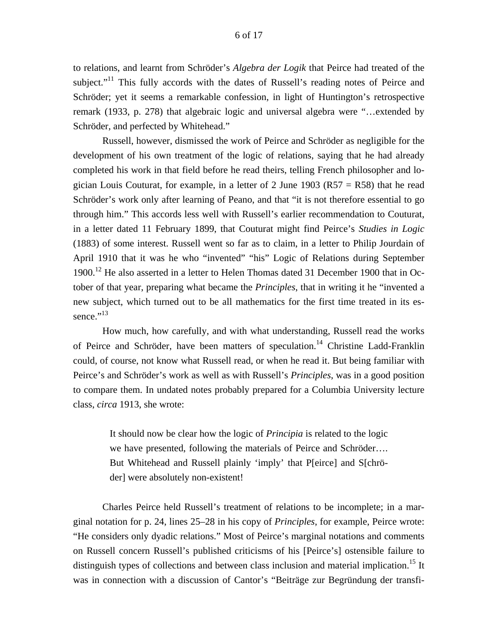to relations, and learnt from Schröder's *Algebra der Logik* that Peirce had treated of the subject."<sup>11</sup> This fully accords with the dates of Russell's reading notes of Peirce and Schröder; yet it seems a remarkable confession, in light of Huntington's retrospective remark (1933, p. 278) that algebraic logic and universal algebra were "…extended by Schröder, and perfected by Whitehead."

 Russell, however, dismissed the work of Peirce and Schröder as negligible for the development of his own treatment of the logic of relations, saying that he had already completed his work in that field before he read theirs, telling French philosopher and logician Louis Couturat, for example, in a letter of 2 June 1903 ( $R57 = R58$ ) that he read Schröder's work only after learning of Peano, and that "it is not therefore essential to go through him." This accords less well with Russell's earlier recommendation to Couturat, in a letter dated 11 February 1899, that Couturat might find Peirce's *Studies in Logic*  (1883) of some interest. Russell went so far as to claim, in a letter to Philip Jourdain of April 1910 that it was he who "invented" "his" Logic of Relations during September  $1900$ <sup>12</sup> He also asserted in a letter to Helen Thomas dated 31 December 1900 that in October of that year, preparing what became the *Principles*, that in writing it he "invented a new subject, which turned out to be all mathematics for the first time treated in its essence." $^{13}$ 

 How much, how carefully, and with what understanding, Russell read the works of Peirce and Schröder, have been matters of speculation.<sup>14</sup> Christine Ladd-Franklin could, of course, not know what Russell read, or when he read it. But being familiar with Peirce's and Schröder's work as well as with Russell's *Principles*, was in a good position to compare them. In undated notes probably prepared for a Columbia University lecture class, *circa* 1913, she wrote:

> It should now be clear how the logic of *Principia* is related to the logic we have presented, following the materials of Peirce and Schröder…. But Whitehead and Russell plainly 'imply' that P[eirce] and S[chröder] were absolutely non-existent!

 Charles Peirce held Russell's treatment of relations to be incomplete; in a marginal notation for p. 24, lines 25–28 in his copy of *Principles*, for example, Peirce wrote: "He considers only dyadic relations." Most of Peirce's marginal notations and comments on Russell concern Russell's published criticisms of his [Peirce's] ostensible failure to distinguish types of collections and between class inclusion and material implication.<sup>15</sup> It was in connection with a discussion of Cantor's "Beiträge zur Begründung der transfi-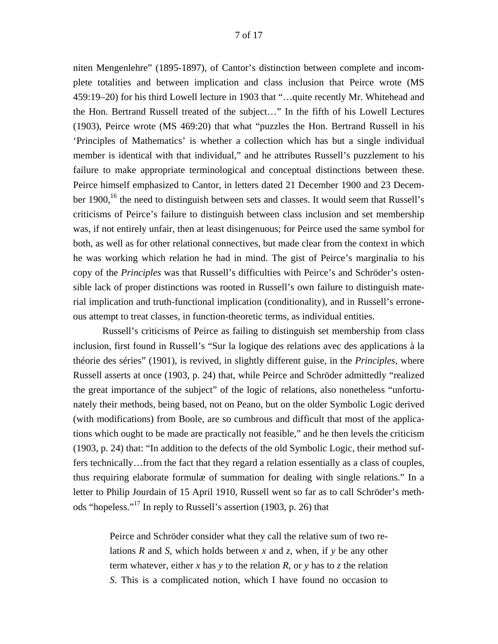niten Mengenlehre" (1895-1897), of Cantor's distinction between complete and incomplete totalities and between implication and class inclusion that Peirce wrote (MS 459:19–20) for his third Lowell lecture in 1903 that "…quite recently Mr. Whitehead and the Hon. Bertrand Russell treated of the subject…" In the fifth of his Lowell Lectures (1903), Peirce wrote (MS 469:20) that what "puzzles the Hon. Bertrand Russell in his 'Principles of Mathematics' is whether a collection which has but a single individual member is identical with that individual," and he attributes Russell's puzzlement to his failure to make appropriate terminological and conceptual distinctions between these. Peirce himself emphasized to Cantor, in letters dated 21 December 1900 and 23 December  $1900$ , <sup>16</sup> the need to distinguish between sets and classes. It would seem that Russell's criticisms of Peirce's failure to distinguish between class inclusion and set membership was, if not entirely unfair, then at least disingenuous; for Peirce used the same symbol for both, as well as for other relational connectives, but made clear from the context in which he was working which relation he had in mind. The gist of Peirce's marginalia to his copy of the *Principles* was that Russell's difficulties with Peirce's and Schröder's ostensible lack of proper distinctions was rooted in Russell's own failure to distinguish material implication and truth-functional implication (conditionality), and in Russell's erroneous attempt to treat classes, in function-theoretic terms, as individual entities.

 Russell's criticisms of Peirce as failing to distinguish set membership from class inclusion, first found in Russell's "Sur la logique des relations avec des applications à la théorie des séries" (1901), is revived, in slightly different guise, in the *Principles*, where Russell asserts at once (1903, p. 24) that, while Peirce and Schröder admittedly "realized the great importance of the subject" of the logic of relations, also nonetheless "unfortunately their methods, being based, not on Peano, but on the older Symbolic Logic derived (with modifications) from Boole, are so cumbrous and difficult that most of the applications which ought to be made are practically not feasible," and he then levels the criticism (1903, p. 24) that: "In addition to the defects of the old Symbolic Logic, their method suffers technically…from the fact that they regard a relation essentially as a class of couples, thus requiring elaborate formulæ of summation for dealing with single relations." In a letter to Philip Jourdain of 15 April 1910, Russell went so far as to call Schröder's methods "hopeless."<sup>17</sup> In reply to Russell's assertion (1903, p. 26) that

Peirce and Schröder consider what they call the relative sum of two relations *R* and *S*, which holds between *x* and *z*, when, if *y* be any other term whatever, either *x* has *y* to the relation *R*, or *y* has to *z* the relation *S*. This is a complicated notion, which I have found no occasion to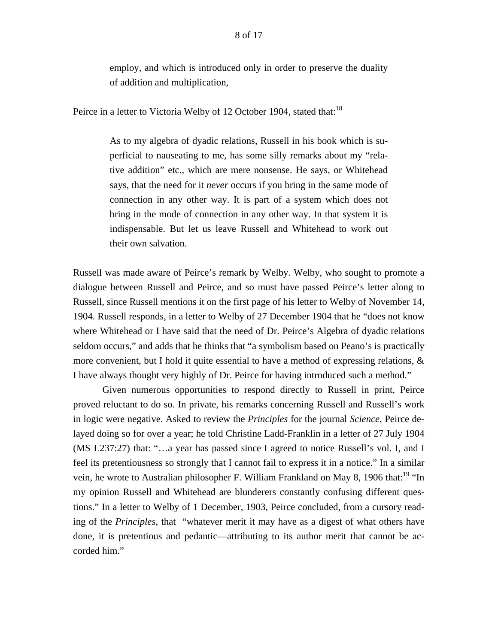employ, and which is introduced only in order to preserve the duality of addition and multiplication,

Peirce in a letter to Victoria Welby of 12 October 1904, stated that:<sup>[18](#page-11-17)</sup>

As to my algebra of dyadic relations, Russell in his book which is superficial to nauseating to me, has some silly remarks about my "relative addition" etc., which are mere nonsense. He says, or Whitehead says, that the need for it *never* occurs if you bring in the same mode of connection in any other way. It is part of a system which does not bring in the mode of connection in any other way. In that system it is indispensable. But let us leave Russell and Whitehead to work out their own salvation.

Russell was made aware of Peirce's remark by Welby. Welby, who sought to promote a dialogue between Russell and Peirce, and so must have passed Peirce's letter along to Russell, since Russell mentions it on the first page of his letter to Welby of November 14, 1904. Russell responds, in a letter to Welby of 27 December 1904 that he "does not know where Whitehead or I have said that the need of Dr. Peirce's Algebra of dyadic relations seldom occurs," and adds that he thinks that "a symbolism based on Peano's is practically more convenient, but I hold it quite essential to have a method of expressing relations, & I have always thought very highly of Dr. Peirce for having introduced such a method."

 Given numerous opportunities to respond directly to Russell in print, Peirce proved reluctant to do so. In private, his remarks concerning Russell and Russell's work in logic were negative. Asked to review the *Principles* for the journal *Science*, Peirce delayed doing so for over a year; he told Christine Ladd-Franklin in a letter of 27 July 1904 (MS L237:27) that: "…a year has passed since I agreed to notice Russell's vol. I, and I feel its pretentiousness so strongly that I cannot fail to express it in a notice." In a similar vein, he wrote to Australian philosopher F. William Frankland on May 8, 1906 that:<sup>19</sup> "In my opinion Russell and Whitehead are blunderers constantly confusing different questions." In a letter to Welby of 1 December, 1903, Peirce concluded, from a cursory reading of the *Principles*, that "whatever merit it may have as a digest of what others have done, it is pretentious and pedantic—attributing to its author merit that cannot be accorded him."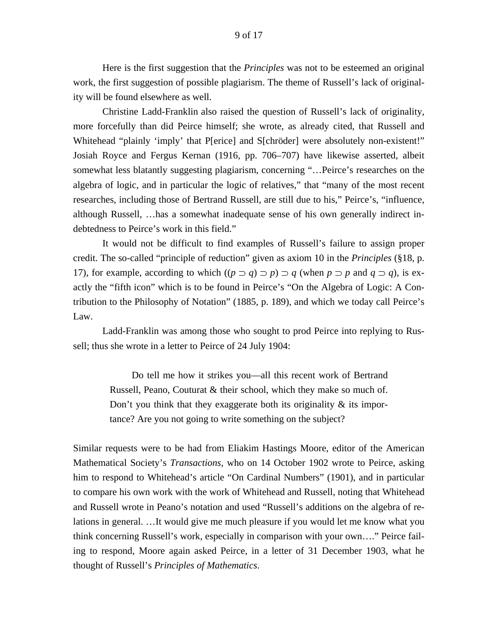Here is the first suggestion that the *Principles* was not to be esteemed an original work, the first suggestion of possible plagiarism. The theme of Russell's lack of originality will be found elsewhere as well.

 Christine Ladd-Franklin also raised the question of Russell's lack of originality, more forcefully than did Peirce himself; she wrote, as already cited, that Russell and Whitehead "plainly 'imply' that P[erice] and S[chröder] were absolutely non-existent!" Josiah Royce and Fergus Kernan (1916, pp. 706–707) have likewise asserted, albeit somewhat less blatantly suggesting plagiarism, concerning "…Peirce's researches on the algebra of logic, and in particular the logic of relatives," that "many of the most recent researches, including those of Bertrand Russell, are still due to his," Peirce's, "influence, although Russell, …has a somewhat inadequate sense of his own generally indirect indebtedness to Peirce's work in this field."

 It would not be difficult to find examples of Russell's failure to assign proper credit. The so-called "principle of reduction" given as axiom 10 in the *Principles* (§18, p. 17), for example, according to which  $((p \supset q) \supset p) \supset q$  (when  $p \supset p$  and  $q \supset q$ ), is exactly the "fifth icon" which is to be found in Peirce's "On the Algebra of Logic: A Contribution to the Philosophy of Notation" (1885, p. 189), and which we today call Peirce's Law.

 Ladd-Franklin was among those who sought to prod Peirce into replying to Russell; thus she wrote in a letter to Peirce of 24 July 1904:

> Do tell me how it strikes you—all this recent work of Bertrand Russell, Peano, Couturat & their school, which they make so much of. Don't you think that they exaggerate both its originality  $\&$  its importance? Are you not going to write something on the subject?

Similar requests were to be had from Eliakim Hastings Moore, editor of the American Mathematical Society's *Transactions*, who on 14 October 1902 wrote to Peirce, asking him to respond to Whitehead's article "On Cardinal Numbers" (1901), and in particular to compare his own work with the work of Whitehead and Russell, noting that Whitehead and Russell wrote in Peano's notation and used "Russell's additions on the algebra of relations in general. …It would give me much pleasure if you would let me know what you think concerning Russell's work, especially in comparison with your own…." Peirce failing to respond, Moore again asked Peirce, in a letter of 31 December 1903, what he thought of Russell's *Principles of Mathematics*.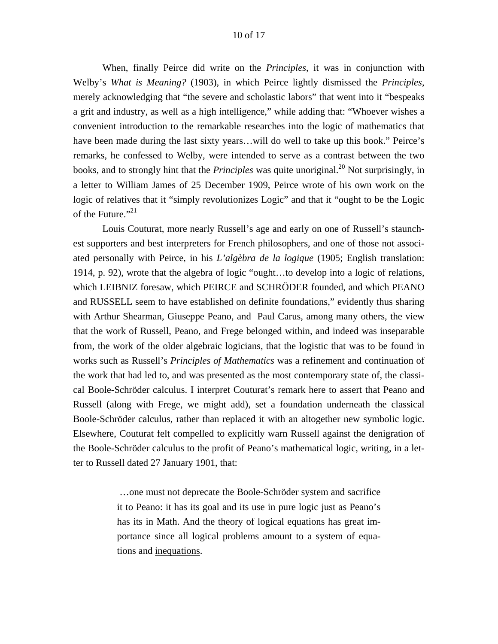#### 10 of 17

 When, finally Peirce did write on the *Principles*, it was in conjunction with Welby's *What is Meaning?* (1903), in which Peirce lightly dismissed the *Principles*, merely acknowledging that "the severe and scholastic labors" that went into it "bespeaks a grit and industry, as well as a high intelligence," while adding that: "Whoever wishes a convenient introduction to the remarkable researches into the logic of mathematics that have been made during the last sixty years...will do well to take up this book." Peirce's remarks, he confessed to Welby, were intended to serve as a contrast between the two books, and to strongly hint that the *Principles* was quite unoriginal.<sup>20</sup> Not surprisingly, in a letter to William James of 25 December 1909, Peirce wrote of his own work on the logic of relatives that it "simply revolutionizes Logic" and that it "ought to be the Logic of the Future."<sup>21</sup>

 Louis Couturat, more nearly Russell's age and early on one of Russell's staunchest supporters and best interpreters for French philosophers, and one of those not associated personally with Peirce, in his *L'algèbra de la logique* (1905; English translation: 1914, p. 92), wrote that the algebra of logic "ought…to develop into a logic of relations, which LEIBNIZ foresaw, which PEIRCE and SCHRÖDER founded, and which PEANO and RUSSELL seem to have established on definite foundations," evidently thus sharing with Arthur Shearman, Giuseppe Peano, and Paul Carus, among many others, the view that the work of Russell, Peano, and Frege belonged within, and indeed was inseparable from, the work of the older algebraic logicians, that the logistic that was to be found in works such as Russell's *Principles of Mathematics* was a refinement and continuation of the work that had led to, and was presented as the most contemporary state of, the classical Boole-Schröder calculus. I interpret Couturat's remark here to assert that Peano and Russell (along with Frege, we might add), set a foundation underneath the classical Boole-Schröder calculus, rather than replaced it with an altogether new symbolic logic. Elsewhere, Couturat felt compelled to explicitly warn Russell against the denigration of the Boole-Schröder calculus to the profit of Peano's mathematical logic, writing, in a letter to Russell dated 27 January 1901, that:

> …one must not deprecate the Boole-Schröder system and sacrifice it to Peano: it has its goal and its use in pure logic just as Peano's has its in Math. And the theory of logical equations has great importance since all logical problems amount to a system of equations and inequations.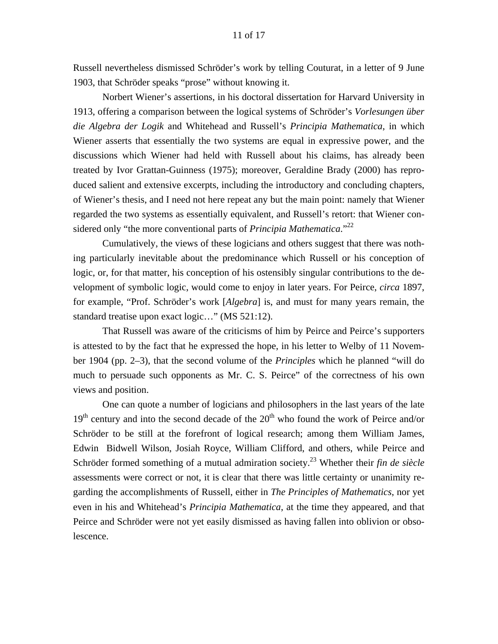Russell nevertheless dismissed Schröder's work by telling Couturat, in a letter of 9 June 1903, that Schröder speaks "prose" without knowing it.

 Norbert Wiener's assertions, in his doctoral dissertation for Harvard University in 1913, offering a comparison between the logical systems of Schröder's *Vorlesungen über die Algebra der Logik* and Whitehead and Russell's *Principia Mathematica*, in which Wiener asserts that essentially the two systems are equal in expressive power, and the discussions which Wiener had held with Russell about his claims, has already been treated by Ivor Grattan-Guinness (1975); moreover, Geraldine Brady (2000) has reproduced salient and extensive excerpts, including the introductory and concluding chapters, of Wiener's thesis, and I need not here repeat any but the main point: namely that Wiener regarded the two systems as essentially equivalent, and Russell's retort: that Wiener considered only "the more conventional parts of *Principia Mathematica*."[22](#page-11-21) 

 Cumulatively, the views of these logicians and others suggest that there was nothing particularly inevitable about the predominance which Russell or his conception of logic, or, for that matter, his conception of his ostensibly singular contributions to the development of symbolic logic, would come to enjoy in later years. For Peirce, *circa* 1897, for example, "Prof. Schröder's work [*Algebra*] is, and must for many years remain, the standard treatise upon exact logic…" (MS 521:12).

 That Russell was aware of the criticisms of him by Peirce and Peirce's supporters is attested to by the fact that he expressed the hope, in his letter to Welby of 11 November 1904 (pp. 2–3), that the second volume of the *Principles* which he planned "will do much to persuade such opponents as Mr. C. S. Peirce" of the correctness of his own views and position.

 One can quote a number of logicians and philosophers in the last years of the late  $19<sup>th</sup>$  century and into the second decade of the  $20<sup>th</sup>$  who found the work of Peirce and/or Schröder to be still at the forefront of logical research; among them William James, Edwin Bidwell Wilson, Josiah Royce, William Clifford, and others, while Peirce and Schröder formed something of a mutual admiration society.<sup>23</sup> Whether their *fin de siècle* assessments were correct or not, it is clear that there was little certainty or unanimity regarding the accomplishments of Russell, either in *The Principles of Mathematics*, nor yet even in his and Whitehead's *Principia Mathematica*, at the time they appeared, and that Peirce and Schröder were not yet easily dismissed as having fallen into oblivion or obsolescence.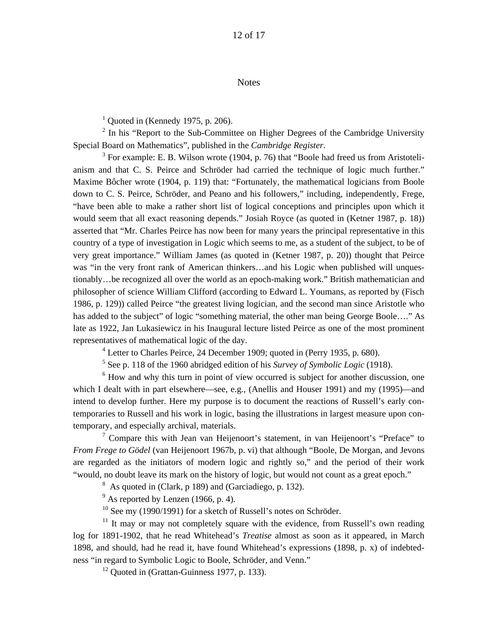#### **Notes**

<span id="page-11-13"></span><span id="page-11-12"></span><span id="page-11-1"></span><span id="page-11-0"></span> $<sup>1</sup>$  Quoted in (Kennedy 1975, p. 206).</sup>

 $2$  In his "Report to the Sub-Committee on Higher Degrees of the Cambridge University Special Board on Mathematics", published in the *Cambridge Register*. 3

<span id="page-11-17"></span><span id="page-11-16"></span><span id="page-11-15"></span><span id="page-11-14"></span><span id="page-11-2"></span> $3$  For example: E. B. Wilson wrote (1904, p. 76) that "Boole had freed us from Aristotelianism and that C. S. Peirce and Schröder had carried the technique of logic much further." Maxime Bôcher wrote (1904, p. 119) that: "Fortunately, the mathematical logicians from Boole down to C. S. Peirce, Schröder, and Peano and his followers," including, independently, Frege, "have been able to make a rather short list of logical conceptions and principles upon which it would seem that all exact reasoning depends." Josiah Royce (as quoted in (Ketner 1987, p. 18)) asserted that "Mr. Charles Peirce has now been for many years the principal representative in this country of a type of investigation in Logic which seems to me, as a student of the subject, to be of very great importance." William James (as quoted in (Ketner 1987, p. 20)) thought that Peirce was "in the very front rank of American thinkers...and his Logic when published will unquestionably…be recognized all over the world as an epoch-making work." British mathematician and philosopher of science William Clifford (according to Edward L. Youmans, as reported by (Fisch 1986, p. 129)) called Peirce "the greatest living logician, and the second man since Aristotle who has added to the subject" of logic "something material, the other man being George Boole…." As late as 1922, Jan Lukasiewicz in his Inaugural lecture listed Peirce as one of the most prominent representatives of mathematical logic of the day.

<span id="page-11-22"></span><span id="page-11-21"></span><span id="page-11-20"></span><span id="page-11-19"></span><span id="page-11-18"></span><span id="page-11-3"></span><sup>4</sup> Letter to Charles Peirce, 24 December 1909; quoted in (Perry 1935, p. 680).

<span id="page-11-5"></span><span id="page-11-4"></span>5 See p. 118 of the 1960 abridged edition of his *Survey of Symbolic Logic* (1918).

<sup>6</sup> How and why this turn in point of view occurred is subject for another discussion, one which I dealt with in part elsewhere—see, e.g., (Anellis and Houser 1991) and my (1995)—and intend to develop further. Here my purpose is to document the reactions of Russell's early contemporaries to Russell and his work in logic, basing the illustrations in largest measure upon contemporary, and especially archival, materials.

<span id="page-11-6"></span><sup>7</sup> Compare this with Jean van Heijenoort's statement, in van Heijenoort's "Preface" to *From Frege to Gödel* (van Heijenoort 1967b, p. vi) that although "Boole, De Morgan, and Jevons are regarded as the initiators of modern logic and rightly so," and the period of their work "would, no doubt leave its mark on the history of logic, but would not count as a great epoch."

<span id="page-11-7"></span> $8\text{ As quoted in (Clark, p 189) and (Garciadiego, p. 132).}$ 

<span id="page-11-8"></span> $9^9$  As reported by Lenzen (1966, p. 4).

<span id="page-11-10"></span><span id="page-11-9"></span> $10$  See my (1990/1991) for a sketch of Russell's notes on Schröder.

 $11$  It may or may not completely square with the evidence, from Russell's own reading log for 1891-1902, that he read Whitehead's *Treatise* almost as soon as it appeared, in March 1898, and should, had he read it, have found Whitehead's expressions (1898, p. x) of indebtedness "in regard to Symbolic Logic to Boole, Schröder, and Venn."

<span id="page-11-11"></span> $12$  Quoted in (Grattan-Guinness 1977, p. 133).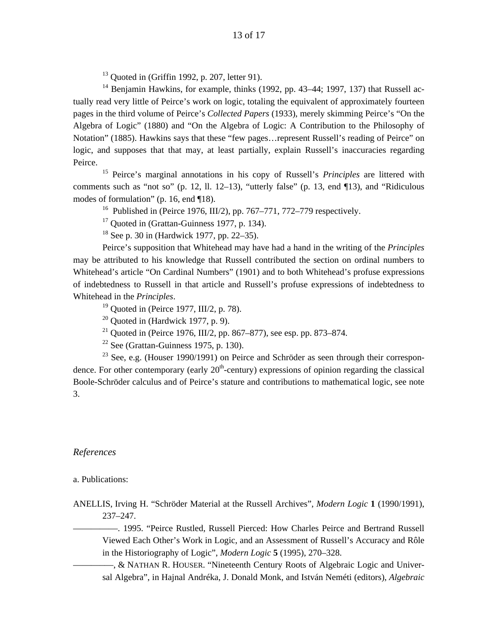$13$  Quoted in (Griffin 1992, p. 207, letter 91).

 $14$  Benjamin Hawkins, for example, thinks (1992, pp. 43–44; 1997, 137) that Russell actually read very little of Peirce's work on logic, totaling the equivalent of approximately fourteen pages in the third volume of Peirce's *Collected Papers* (1933), merely skimming Peirce's "On the Algebra of Logic" (1880) and "On the Algebra of Logic: A Contribution to the Philosophy of Notation" (1885). Hawkins says that these "few pages…represent Russell's reading of Peirce" on logic, and supposes that that may, at least partially, explain Russell's inaccuracies regarding Peirce.

15 Peirce's marginal annotations in his copy of Russell's *Principles* are littered with comments such as "not so" (p. 12, ll. 12–13), "utterly false" (p. 13, end ¶13), and "Ridiculous modes of formulation" (p. 16, end ¶18).

<sup>16</sup> Published in (Peirce 1976, III/2), pp. 767–771, 772–779 respectively.

 $17$  Quoted in (Grattan-Guinness 1977, p. 134).

 $18$  See p. 30 in (Hardwick 1977, pp. 22–35).

 Peirce's supposition that Whitehead may have had a hand in the writing of the *Principles* may be attributed to his knowledge that Russell contributed the section on ordinal numbers to Whitehead's article "On Cardinal Numbers" (1901) and to both Whitehead's profuse expressions of indebtedness to Russell in that article and Russell's profuse expressions of indebtedness to Whitehead in the *Principles*.<br><sup>19</sup> Quoted in (Peirce 1977, III/2, p. 78).

 $20$  Quoted in (Hardwick 1977, p. 9).

<sup>21</sup> Quoted in (Peirce 1976, III/2, pp. 867–877), see esp. pp. 873–874.

 $22$  See (Grattan-Guinness 1975, p. 130).

 $23$  See, e.g. (Houser 1990/1991) on Peirce and Schröder as seen through their correspondence. For other contemporary (early  $20<sup>th</sup>$ -century) expressions of opinion regarding the classical Boole-Schröder calculus and of Peirce's stature and contributions to mathematical logic, see note 3.

#### *References*

#### a. Publications:

ANELLIS, Irving H. "Schröder Material at the Russell Archives", *Modern Logic* **1** (1990/1991), 237–247.

—————. 1995. "Peirce Rustled, Russell Pierced: How Charles Peirce and Bertrand Russell Viewed Each Other's Work in Logic, and an Assessment of Russell's Accuracy and Rôle in the Historiography of Logic", *Modern Logic* **5** (1995), 270–328.

–––––––––, & NATHAN R. HOUSER. "Nineteenth Century Roots of Algebraic Logic and Universal Algebra", in Hajnal Andréka, J. Donald Monk, and István Neméti (editors), *Algebraic*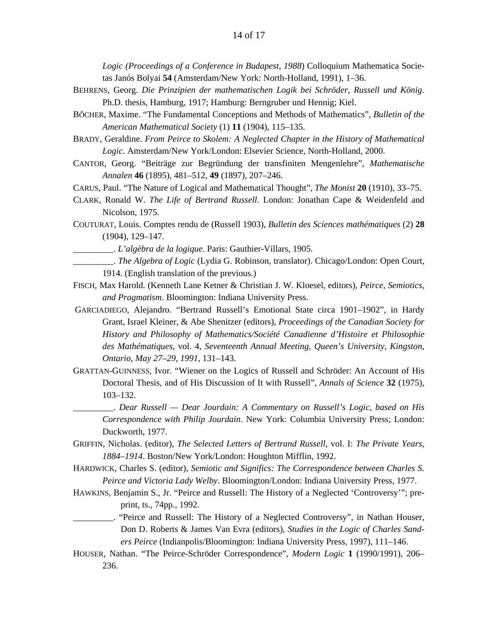*Logic (Proceedings of a Conference in Budapest, 1988*) Colloquium Mathematica Societas Janós Bolyai **54** (Amsterdam/New York: North-Holland, 1991), 1–36.

- BEHRENS, Georg. *Die Prinzipien der mathematischen Logik bei Schröder, Russell und König*. Ph.D. thesis, Hamburg, 1917; Hamburg: Berngruber und Hennig; Kiel.
- BÔCHER, Maxime. "The Fundamental Conceptions and Methods of Mathematics", *Bulletin of the American Mathematical Society* (1) **11** (1904), 115–135.
- BRADY, Geraldine. *From Peirce to Skolem: A Neglected Chapter in the History of Mathematical Logic*. Amsterdam/New York/London: Elsevier Science, North-Holland, 2000.
- CANTOR, Georg. "Beiträge zur Begründung der transfiniten Mengenlehre", *Mathematische Annalen* **46** (1895), 481–512, **49** (1897), 207–246.
- CARUS, Paul. "The Nature of Logical and Mathematical Thought", *The Monist* **20** (1910), 33–75.
- CLARK, Ronald W. *The Life of Bertrand Russell*. London: Jonathan Cape & Weidenfeld and Nicolson, 1975.
- COUTURAT, Louis. Comptes rendu de (Russell 1903), *Bulletin des Sciences mathématiques* (2) **28** (1904), 129–147.
	- \_\_\_\_\_\_\_\_\_. *L'algèbra de la logique*. Paris: Gauthier-Villars, 1905.
- \_\_\_\_\_\_\_\_\_. *The Algebra of Logic* (Lydia G. Robinson, translator). Chicago/London: Open Court, 1914. (English translation of the previous.)
- FISCH, Max Harold. (Kenneth Lane Ketner & Christian J. W. Kloesel, editors), *Peirce, Semiotics, and Pragmatism*. Bloomington: Indiana University Press.
- GARCIADIEGO, Alejandro. "Bertrand Russell's Emotional State circa 1901–1902", in Hardy Grant, Israel Kleiner, & Abe Shenitzer (editors), *Proceedings of the Canadian Society for History and Philosophy of Mathematics/Société Canadienne d'Histoire et Philosophie des Mathématiques*, vol. 4, *Seventeenth Annual Meeting, Queen's University, Kingston, Ontario, May 27–29, 1991*, 131–143.
- GRATTAN-GUINNESS, Ivor. "Wiener on the Logics of Russell and Schröder: An Account of His Doctoral Thesis, and of His Discussion of It with Russell", *Annals of Science* **32** (1975), 103–132.
	- \_\_\_\_\_\_\_\_\_. *Dear Russell Dear Jourdain: A Commentary on Russell's Logic, based on His Correspondence with Philip Jourdain*. New York: Columbia University Press; London: Duckworth, 1977.
- GRIFFIN, Nicholas. (editor), *The Selected Letters of Bertrand Russell*, vol. I: *The Private Years, 1884–1914*. Boston/New York/London: Houghton Mifflin, 1992.
- HARDWICK, Charles S. (editor), *Semiotic and Significs: The Correspondence between Charles S. Peirce and Victoria Lady Welby*. Bloomington/London: Indiana University Press, 1977.
- HAWKINS, Benjamin S., Jr. "Peirce and Russell: The History of a Neglected 'Controversy'"; preprint, ts., 74pp., 1992.
- \_\_\_\_\_\_\_\_\_. "Peirce and Russell: The History of a Neglected Controversy", in Nathan Houser, Don D. Roberts & James Van Evra (editors), *Studies in the Logic of Charles Sanders Peirce* (Indianpolis/Bloomington: Indiana University Press, 1997), 111–146.
- HOUSER, Nathan. "The Peirce-Schröder Correspondence", *Modern Logic* **1** (1990/1991), 206– 236.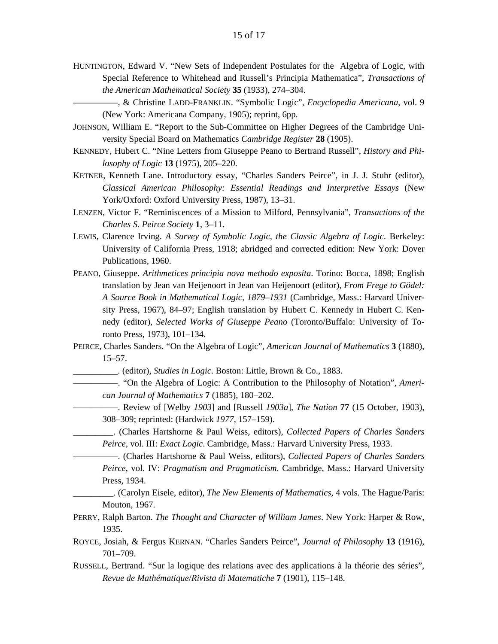- HUNTINGTON, Edward V. "New Sets of Independent Postulates for the Algebra of Logic, with Special Reference to Whitehead and Russell's Principia Mathematica", *Transactions of the American Mathematical Society* **35** (1933), 274–304.
	- —————, & Christine LADD-FRANKLIN. "Symbolic Logic", *Encyclopedia Americana*, vol. 9 (New York: Americana Company, 1905); reprint, 6pp.
- JOHNSON, William E. "Report to the Sub-Committee on Higher Degrees of the Cambridge University Special Board on Mathematics *Cambridge Register* **28** (1905).
- KENNEDY, Hubert C. "Nine Letters from Giuseppe Peano to Bertrand Russell", *History and Philosophy of Logic* **13** (1975), 205–220.
- KETNER, Kenneth Lane. Introductory essay, "Charles Sanders Peirce", in J. J. Stuhr (editor), *Classical American Philosophy: Essential Readings and Interpretive Essays* (New York/Oxford: Oxford University Press, 1987), 13–31.
- LENZEN, Victor F. "Reminiscences of a Mission to Milford, Pennsylvania", *Transactions of the Charles S. Peirce Society* **1**, 3–11.
- LEWIS, Clarence Irving. *A Survey of Symbolic Logic, the Classic Algebra of Logic*. Berkeley: University of California Press, 1918; abridged and corrected edition: New York: Dover Publications, 1960.
- PEANO, Giuseppe. *Arithmetices principia nova methodo exposita*. Torino: Bocca, 1898; English translation by Jean van Heijenoort in Jean van Heijenoort (editor), *From Frege to Gödel: A Source Book in Mathematical Logic, 1879–1931* (Cambridge, Mass.: Harvard University Press, 1967), 84–97; English translation by Hubert C. Kennedy in Hubert C. Kennedy (editor), *Selected Works of Giuseppe Peano* (Toronto/Buffalo: University of Toronto Press, 1973), 101–134.
- PEIRCE, Charles Sanders. "On the Algebra of Logic", *American Journal of Mathematics* **3** (1880), 15–57.
	- \_\_\_\_\_\_\_\_\_\_. (editor), *Studies in Logic*. Boston: Little, Brown & Co., 1883.
	- —————. "On the Algebra of Logic: A Contribution to the Philosophy of Notation", *American Journal of Mathematics* **7** (1885), 180–202.
		- —————. Review of [Welby *1903*] and [Russell *1903a*], *The Nation* **77** (15 October, 1903), 308–309; reprinted: (Hardwick *1977*, 157–159).
		- \_\_\_\_\_\_\_\_\_. (Charles Hartshorne & Paul Weiss, editors), *Collected Papers of Charles Sanders Peirce*, vol. III: *Exact Logic*. Cambridge, Mass.: Harvard University Press, 1933.
		- —————. (Charles Hartshorne & Paul Weiss, editors), *Collected Papers of Charles Sanders Peirce*, vol. IV: *Pragmatism and Pragmaticism*. Cambridge, Mass.: Harvard University Press, 1934.
		- \_\_\_\_\_\_\_\_\_. (Carolyn Eisele, editor), *The New Elements of Mathematics*, 4 vols. The Hague/Paris: Mouton, 1967.
- PERRY, Ralph Barton. *The Thought and Character of William James*. New York: Harper & Row, 1935.
- ROYCE, Josiah, & Fergus KERNAN. "Charles Sanders Peirce", *Journal of Philosophy* **13** (1916), 701–709.
- RUSSELL, Bertrand. "Sur la logique des relations avec des applications à la théorie des séries", *Revue de Mathématique*/*Rivista di Matematiche* **7** (1901), 115–148.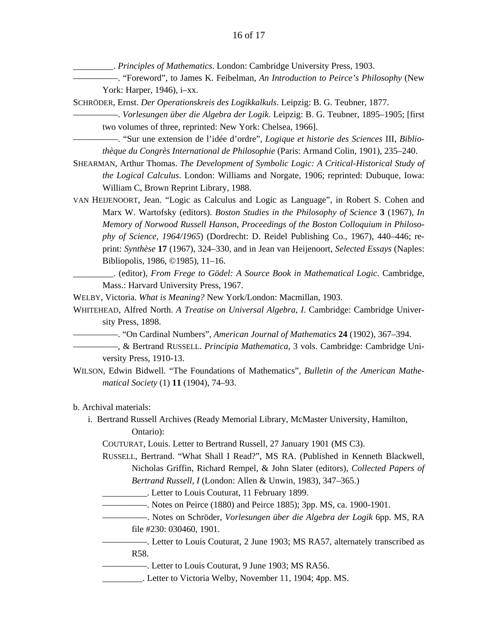\_\_\_\_\_\_\_\_\_. *Principles of Mathematics*. London: Cambridge University Press, 1903.

- —————. "Foreword", to James K. Feibelman, *An Introduction to Peirce's Philosophy* (New York: Harper, 1946), i–xx.
- SCHRÖDER, Ernst. *Der Operationskreis des Logikkalkuls*. Leipzig: B. G. Teubner, 1877.

—————. *Vorlesungen über die Algebra der Logik*. Leipzig: B. G. Teubner, 1895–1905; [first two volumes of three, reprinted: New York: Chelsea, 1966].

- —————. "Sur une extension de l'idée d'ordre", *Logique et historie des Sciences* III, *Bibliothèque du Congrès International de Philosophie* (Paris: Armand Colin, 1901), 235–240.
- SHEARMAN, Arthur Thomas. *The Development of Symbolic Logic: A Critical-Historical Study of the Logical Calculus*. London: Williams and Norgate, 1906; reprinted: Dubuque, Iowa: William C, Brown Reprint Library, 1988.

VAN HEIJENOORT, Jean. "Logic as Calculus and Logic as Language", in Robert S. Cohen and Marx W. Wartofsky (editors). *Boston Studies in the Philosophy of Science* **3** (1967), *In Memory of Norwood Russell Hanson, Proceedings of the Boston Colloquium in Philosophy of Science, 1964/1965*) (Dordrecht: D. Reidel Publishing Co., 1967), 440–446; reprint: *Synthèse* **17** (1967), 324–330, and in Jean van Heijenoort, *Selected Essays* (Naples: Bibliopolis, 1986, ©1985), 11–16.

\_\_\_\_\_\_\_\_\_. (editor), *From Frege to Gödel: A Source Book in Mathematical Logic*. Cambridge, Mass.: Harvard University Press, 1967.

WELBY, Victoria. *What is Meaning?* New York/London: Macmillan, 1903.

- WHITEHEAD, Alfred North. *A Treatise on Universal Algebra, I*. Cambridge: Cambridge University Press, 1898.
	- —————. "On Cardinal Numbers", *American Journal of Mathematics* **24** (1902), 367–394.
	- —————, & Bertrand RUSSELL. *Principia Mathematica*, 3 vols. Cambridge: Cambridge University Press, 1910-13.
- WILSON, Edwin Bidwell. "The Foundations of Mathematics", *Bulletin of the American Mathematical Society* (1) **11** (1904), 74–93.

b. Archival materials:

 i. Bertrand Russell Archives (Ready Memorial Library, McMaster University, Hamilton, Ontario):

COUTURAT, Louis. Letter to Bertrand Russell, 27 January 1901 (MS C3).

 RUSSELL, Bertrand. "What Shall I Read?", MS RA. (Published in Kenneth Blackwell, Nicholas Griffin, Richard Rempel, & John Slater (editors), *Collected Papers of Bertrand Russell, I* (London: Allen & Unwin, 1983), 347–365.)

- \_\_\_\_\_\_\_\_\_\_. Letter to Louis Couturat, 11 February 1899.
- —————. Notes on Peirce (1880) and Peirce 1885); 3pp. MS, ca. 1900-1901.
- —————. Notes on Schröder, *Vorlesungen über die Algebra der Logik* 6pp. MS, RA file #230: 030460, 1901.
- —————. Letter to Louis Couturat, 2 June 1903; MS RA57, alternately transcribed as R58.
- —————. Letter to Louis Couturat, 9 June 1903; MS RA56.
- \_\_\_\_\_\_\_\_\_. Letter to Victoria Welby, November 11, 1904; 4pp. MS.